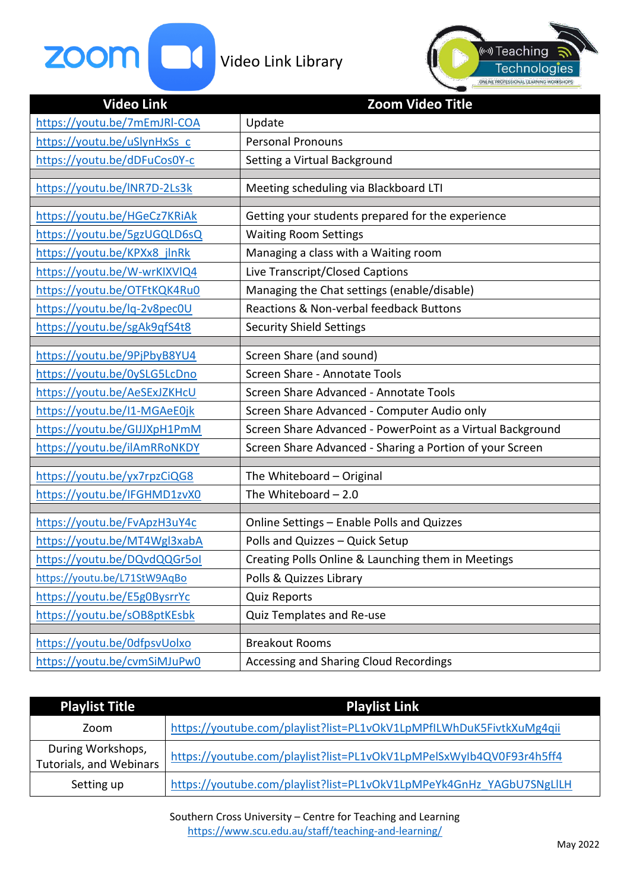



| <b>Video Link</b>            | <b>Zoom Video Title</b>                                    |
|------------------------------|------------------------------------------------------------|
| https://youtu.be/7mEmJRI-COA | Update                                                     |
| https://youtu.be/uSlynHxSs c | <b>Personal Pronouns</b>                                   |
| https://youtu.be/dDFuCos0Y-c | Setting a Virtual Background                               |
|                              |                                                            |
| https://youtu.be/INR7D-2Ls3k | Meeting scheduling via Blackboard LTI                      |
| https://youtu.be/HGeCz7KRiAk | Getting your students prepared for the experience          |
| https://youtu.be/5gzUGQLD6sQ | <b>Waiting Room Settings</b>                               |
| https://youtu.be/KPXx8 jlnRk | Managing a class with a Waiting room                       |
| https://youtu.be/W-wrKIXVIQ4 | Live Transcript/Closed Captions                            |
| https://youtu.be/OTFtKQK4Ru0 | Managing the Chat settings (enable/disable)                |
| https://youtu.be/lq-2v8pec0U | Reactions & Non-verbal feedback Buttons                    |
| https://youtu.be/sgAk9qfS4t8 | <b>Security Shield Settings</b>                            |
|                              |                                                            |
| https://youtu.be/9PjPbyB8YU4 | Screen Share (and sound)                                   |
| https://youtu.be/0ySLG5LcDno | Screen Share - Annotate Tools                              |
| https://youtu.be/AeSExJZKHcU | Screen Share Advanced - Annotate Tools                     |
| https://youtu.be/I1-MGAeE0jk | Screen Share Advanced - Computer Audio only                |
| https://youtu.be/GIJJXpH1PmM | Screen Share Advanced - PowerPoint as a Virtual Background |
| https://youtu.be/ilAmRRoNKDY | Screen Share Advanced - Sharing a Portion of your Screen   |
| https://youtu.be/yx7rpzCiQG8 | The Whiteboard - Original                                  |
|                              |                                                            |
| https://youtu.be/IFGHMD1zvX0 | The Whiteboard $-2.0$                                      |
| https://youtu.be/FvApzH3uY4c | Online Settings - Enable Polls and Quizzes                 |
| https://youtu.be/MT4Wgl3xabA | Polls and Quizzes - Quick Setup                            |
| https://youtu.be/DQvdQQGr5ol | Creating Polls Online & Launching them in Meetings         |
| https://youtu.be/L71StW9AqBo | Polls & Quizzes Library                                    |
| https://youtu.be/E5g0BysrrYc | <b>Quiz Reports</b>                                        |
| https://youtu.be/sOB8ptKEsbk | Quiz Templates and Re-use                                  |
|                              |                                                            |
| https://youtu.be/0dfpsvUolxo | <b>Breakout Rooms</b>                                      |
| https://youtu.be/cvmSiMJuPw0 | Accessing and Sharing Cloud Recordings                     |

| <b>Playlist Title</b>                        | <b>Playlist Link</b>                                                 |
|----------------------------------------------|----------------------------------------------------------------------|
| Zoom                                         | https://youtube.com/playlist?list=PL1vOkV1LpMPfILWhDuK5FivtkXuMg4qii |
| During Workshops,<br>Tutorials, and Webinars | https://youtube.com/playlist?list=PL1vOkV1LpMPelSxWyIb4QV0F93r4h5ff4 |
| Setting up                                   | https://youtube.com/playlist?list=PL1vOkV1LpMPeYk4GnHz YAGbU7SNgLlLH |

Southern Cross University – Centre for Teaching and Learning <https://www.scu.edu.au/staff/teaching-and-learning/>